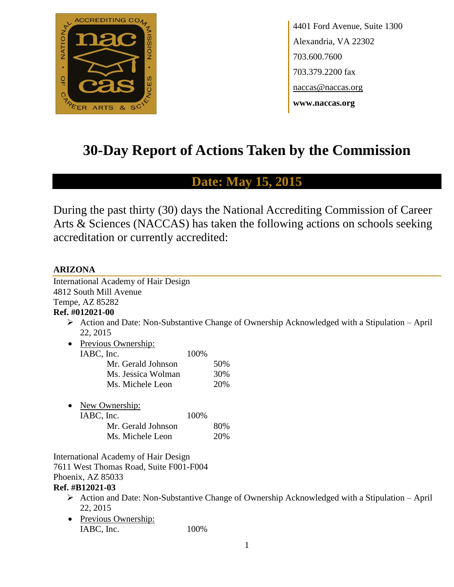

4401 Ford Avenue, Suite 1300 Alexandria, VA 22302 703.600.7600 703.379.2200 fax naccas@naccas.org **www.naccas.org**

# **30-Day Report of Actions Taken by the Commission**

# **Date: May 15, 2015**

During the past thirty (30) days the National Accrediting Commission of Career Arts & Sciences (NACCAS) has taken the following actions on schools seeking accreditation or currently accredited:

# **ARIZONA**

| International Academy of Hair Design   |                                                                                                               |
|----------------------------------------|---------------------------------------------------------------------------------------------------------------|
| 4812 South Mill Avenue                 |                                                                                                               |
| Tempe, AZ 85282                        |                                                                                                               |
| Ref. #012021-00                        |                                                                                                               |
| 22, 2015                               | $\triangleright$ Action and Date: Non-Substantive Change of Ownership Acknowledged with a Stipulation – April |
| Previous Ownership:<br>٠               |                                                                                                               |
| IABC, Inc.<br>100%                     |                                                                                                               |
| Mr. Gerald Johnson                     | 50%                                                                                                           |
| Ms. Jessica Wolman                     | 30%                                                                                                           |
| Ms. Michele Leon                       | 20%                                                                                                           |
| New Ownership:                         |                                                                                                               |
| IABC, Inc.<br>100%                     |                                                                                                               |
| Mr. Gerald Johnson                     | 80%                                                                                                           |
| Ms. Michele Leon                       | 20%                                                                                                           |
| International Academy of Hair Design   |                                                                                                               |
| 7611 West Thomas Road, Suite F001-F004 |                                                                                                               |
| Phoenix, AZ 85033                      |                                                                                                               |
| Ref. #B12021-03                        |                                                                                                               |
| 22, 2015                               | $\triangleright$ Action and Date: Non-Substantive Change of Ownership Acknowledged with a Stipulation – April |
| Previous Ownership:<br>٠               |                                                                                                               |
| IABC, Inc.<br>100%                     |                                                                                                               |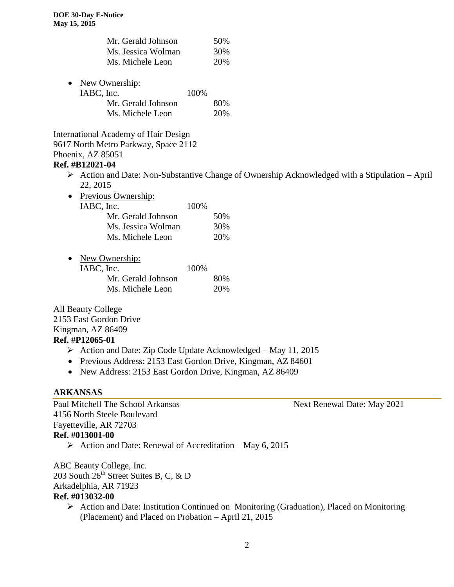| Mr. Gerald Johnson | 50% |
|--------------------|-----|
| Ms. Jessica Wolman | 30% |
| Ms. Michele Leon   | 20% |

| $\bullet$ | New Ownership:     |       |     |
|-----------|--------------------|-------|-----|
|           | IABC, Inc.         | 100\% |     |
|           | Mr. Gerald Johnson |       | 80% |
|           | Ms. Michele Leon   |       | 20% |

International Academy of Hair Design 9617 North Metro Parkway, Space 2112 Phoenix, AZ 85051

#### **Ref. #B12021-04**

- $\triangleright$  Action and Date: Non-Substantive Change of Ownership Acknowledged with a Stipulation April 22, 2015
- Previous Ownership:

| IABC, Inc. |                    | 100\% |      |
|------------|--------------------|-------|------|
|            | Mr. Gerald Johnson |       | 50\% |
|            | Ms. Jessica Wolman |       | 30%  |
|            | Ms. Michele Leon   |       | 20%  |
|            |                    |       |      |

• New Ownership:

| IABC, Inc.         | 100% |     |
|--------------------|------|-----|
| Mr. Gerald Johnson |      | 80% |
| Ms. Michele Leon   |      | 20% |

All Beauty College 2153 East Gordon Drive Kingman, AZ 86409 **Ref. #P12065-01**

- $\triangleright$  Action and Date: Zip Code Update Acknowledged May 11, 2015
- Previous Address: 2153 East Gordon Drive, Kingman, AZ 84601
- New Address: 2153 East Gordon Drive, Kingman, AZ 86409

# **ARKANSAS**

Paul Mitchell The School Arkansas Next Renewal Date: May 2021 4156 North Steele Boulevard Fayetteville, AR 72703 **Ref. #013001-00**

 $\triangleright$  Action and Date: Renewal of Accreditation – May 6, 2015

ABC Beauty College, Inc. 203 South  $26^{th}$  Street Suites B, C, & D Arkadelphia, AR 71923 **Ref. #013032-00**

> $\triangleright$  Action and Date: Institution Continued on Monitoring (Graduation), Placed on Monitoring (Placement) and Placed on Probation – April 21, 2015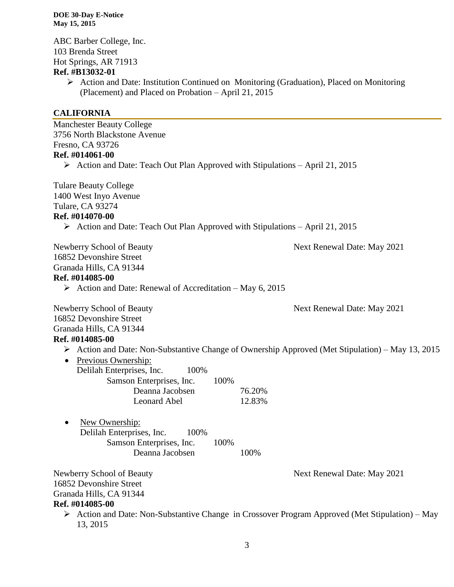ABC Barber College, Inc. 103 Brenda Street Hot Springs, AR 71913 **Ref. #B13032-01**

 Action and Date: Institution Continued on Monitoring (Graduation), Placed on Monitoring (Placement) and Placed on Probation – April 21, 2015

# **CALIFORNIA**

| <b>Manchester Beauty College</b>                                                             |                                                                                                |
|----------------------------------------------------------------------------------------------|------------------------------------------------------------------------------------------------|
| 3756 North Blackstone Avenue                                                                 |                                                                                                |
| Fresno, CA 93726                                                                             |                                                                                                |
| Ref. #014061-00                                                                              |                                                                                                |
| $\triangleright$ Action and Date: Teach Out Plan Approved with Stipulations – April 21, 2015 |                                                                                                |
| <b>Tulare Beauty College</b>                                                                 |                                                                                                |
| 1400 West Inyo Avenue                                                                        |                                                                                                |
| Tulare, CA 93274                                                                             |                                                                                                |
| Ref. #014070-00                                                                              |                                                                                                |
| $\triangleright$ Action and Date: Teach Out Plan Approved with Stipulations – April 21, 2015 |                                                                                                |
| Newberry School of Beauty                                                                    | Next Renewal Date: May 2021                                                                    |
| 16852 Devonshire Street                                                                      |                                                                                                |
| Granada Hills, CA 91344                                                                      |                                                                                                |
| Ref. #014085-00                                                                              |                                                                                                |
| $\triangleright$ Action and Date: Renewal of Accreditation – May 6, 2015                     |                                                                                                |
| Newberry School of Beauty                                                                    | Next Renewal Date: May 2021                                                                    |
| 16852 Devonshire Street                                                                      |                                                                                                |
| Granada Hills, CA 91344                                                                      |                                                                                                |
| Ref. #014085-00                                                                              |                                                                                                |
|                                                                                              | Action and Date: Non-Substantive Change of Ownership Approved (Met Stipulation) – May 13, 2015 |
| Previous Ownership:<br>$\bullet$                                                             |                                                                                                |
| Delilah Enterprises, Inc.<br>100%                                                            |                                                                                                |
| Samson Enterprises, Inc.                                                                     | 100%                                                                                           |
| Deanna Jacobsen                                                                              | 76.20%                                                                                         |
| Leonard Abel                                                                                 | 12.83%                                                                                         |
| New Ownership:<br>٠                                                                          |                                                                                                |
| Delilah Enterprises, Inc.<br>100%                                                            |                                                                                                |
| Samson Enterprises, Inc.                                                                     | 100%                                                                                           |
| Deanna Jacobsen                                                                              | 100%                                                                                           |
| Newberry School of Beauty                                                                    | Next Renewal Date: May 2021                                                                    |
| 16852 Devonshire Street                                                                      |                                                                                                |
| Granada Hills, CA 91344                                                                      |                                                                                                |
| Ref. #014085-00                                                                              |                                                                                                |
| ➤                                                                                            | Action and Date: Non-Substantive Change in Crossover Program Approved (Met Stipulation) – May  |
| 13, 2015                                                                                     |                                                                                                |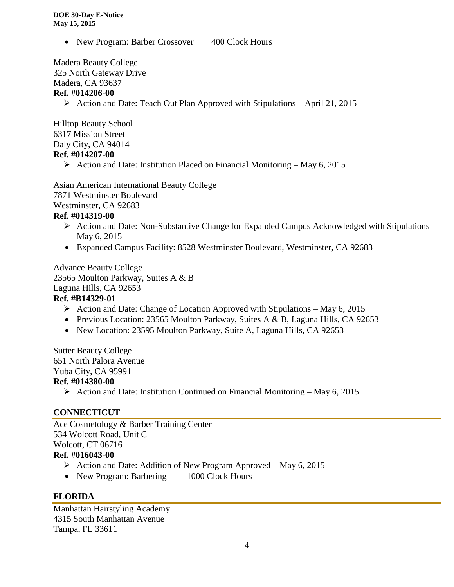• New Program: Barber Crossover 400 Clock Hours

Madera Beauty College 325 North Gateway Drive Madera, CA 93637

# **Ref. #014206-00**

Action and Date: Teach Out Plan Approved with Stipulations – April 21, 2015

Hilltop Beauty School 6317 Mission Street Daly City, CA 94014 **Ref. #014207-00**

Action and Date: Institution Placed on Financial Monitoring – May 6, 2015

Asian American International Beauty College 7871 Westminster Boulevard Westminster, CA 92683

#### **Ref. #014319-00**

- $\triangleright$  Action and Date: Non-Substantive Change for Expanded Campus Acknowledged with Stipulations May 6, 2015
- Expanded Campus Facility: 8528 Westminster Boulevard, Westminster, CA 92683

Advance Beauty College 23565 Moulton Parkway, Suites A & B Laguna Hills, CA 92653 **Ref. #B14329-01**

- Action and Date: Change of Location Approved with Stipulations May 6, 2015
- Previous Location: 23565 Moulton Parkway, Suites A & B, Laguna Hills, CA 92653
- New Location: 23595 Moulton Parkway, Suite A, Laguna Hills, CA 92653

Sutter Beauty College 651 North Palora Avenue Yuba City, CA 95991

# **Ref. #014380-00**

Action and Date: Institution Continued on Financial Monitoring – May 6, 2015

# **CONNECTICUT**

Ace Cosmetology & Barber Training Center 534 Wolcott Road, Unit C Wolcott, CT 06716 **Ref. #016043-00**

# $\triangleright$  Action and Date: Addition of New Program Approved – May 6, 2015

• New Program: Barbering 1000 Clock Hours

# **FLORIDA**

Manhattan Hairstyling Academy 4315 South Manhattan Avenue Tampa, FL 33611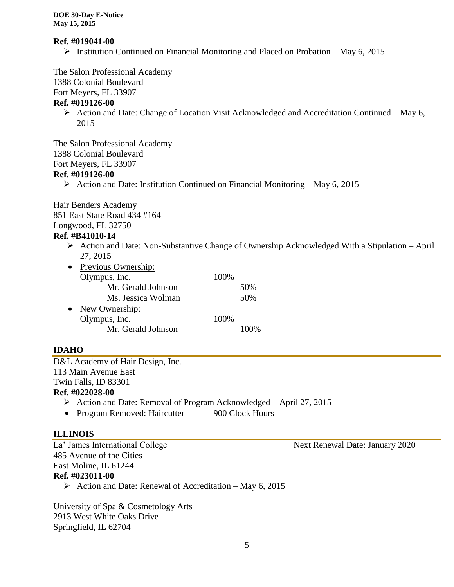#### **Ref. #019041-00**

 $\triangleright$  Institution Continued on Financial Monitoring and Placed on Probation – May 6, 2015

The Salon Professional Academy

1388 Colonial Boulevard

Fort Meyers, FL 33907

# **Ref. #019126-00**

 $\triangleright$  Action and Date: Change of Location Visit Acknowledged and Accreditation Continued – May 6, 2015

The Salon Professional Academy 1388 Colonial Boulevard Fort Meyers, FL 33907

#### **Ref. #019126-00**

Action and Date: Institution Continued on Financial Monitoring – May 6, 2015

Hair Benders Academy 851 East State Road 434 #164 Longwood, FL 32750

#### **Ref. #B41010-14**

 $\triangleright$  Action and Date: Non-Substantive Change of Ownership Acknowledged With a Stipulation – April 27, 2015

| $\bullet$ | Previous Ownership: |      |     |
|-----------|---------------------|------|-----|
|           | Olympus, Inc.       | 100% |     |
|           | Mr. Gerald Johnson  |      | 50% |
|           | Ms. Jessica Wolman  |      | 50% |
| $\bullet$ | New Ownership:      |      |     |
|           | Olympus, Inc.       | 100% |     |
|           | Mr. Gerald Johnson  |      |     |

# **IDAHO**

D&L Academy of Hair Design, Inc. 113 Main Avenue East Twin Falls, ID 83301 **Ref. #022028-00**

- $\triangleright$  Action and Date: Removal of Program Acknowledged April 27, 2015
- Program Removed: Haircutter 900 Clock Hours

# **ILLINOIS**

485 Avenue of the Cities East Moline, IL 61244

# **Ref. #023011-00**

 $\triangleright$  Action and Date: Renewal of Accreditation – May 6, 2015

University of Spa & Cosmetology Arts 2913 West White Oaks Drive Springfield, IL 62704

La' James International College Next Renewal Date: January 2020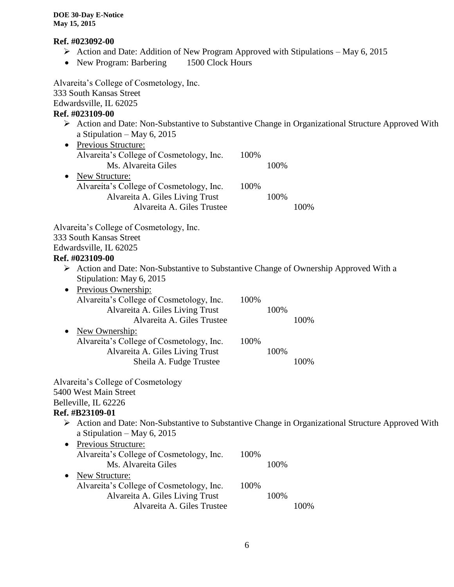#### **Ref. #023092-00**

- Action and Date: Addition of New Program Approved with Stipulations May 6, 2015
- New Program: Barbering 1500 Clock Hours

Alvareita's College of Cosmetology, Inc. 333 South Kansas Street Edwardsville, IL 62025 **Ref. #023109-00**  $\triangleright$  Action and Date: Non-Substantive to Substantive Change in Organizational Structure Approved With a Stipulation – May 6, 2015 • Previous Structure: Alvareita's College of Cosmetology, Inc. 100% Ms. Alvareita Giles 100% • New Structure: Alvareita's College of Cosmetology, Inc. 100% Alvareita A. Giles Living Trust 100% Alvareita A. Giles Trustee 100% Alvareita's College of Cosmetology, Inc. 333 South Kansas Street Edwardsville, IL 62025 **Ref. #023109-00**  $\triangleright$  Action and Date: Non-Substantive to Substantive Change of Ownership Approved With a Stipulation: May 6, 2015 • Previous Ownership: Alvareita's College of Cosmetology, Inc. 100% Alvareita A. Giles Living Trust 100% Alvareita A. Giles Trustee 100% • New Ownership: Alvareita's College of Cosmetology, Inc. 100% Alvareita A. Giles Living Trust 100% Sheila A. Fudge Trustee 100% Alvareita's College of Cosmetology 5400 West Main Street Belleville, IL 62226 **Ref. #B23109-01** Action and Date: Non-Substantive to Substantive Change in Organizational Structure Approved With a Stipulation – May 6, 2015 • Previous Structure: Alvareita's College of Cosmetology, Inc. 100% Ms. Alvareita Giles 100% • New Structure: Alvareita's College of Cosmetology, Inc. 100% Alvareita A. Giles Living Trust 100% Alvareita A. Giles Trustee 100%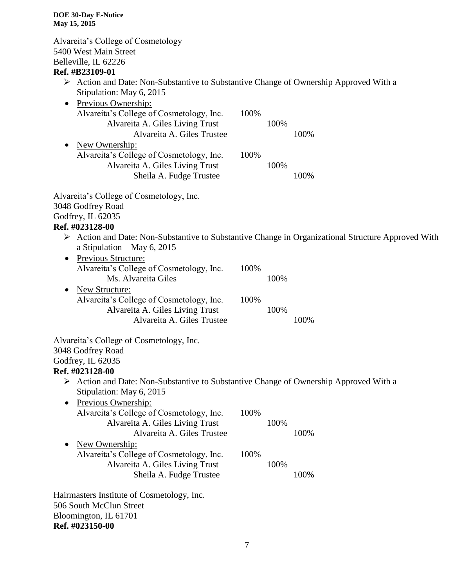Alvareita's College of Cosmetology 5400 West Main Street Belleville, IL 62226 **Ref. #B23109-01**

- $\triangleright$  Action and Date: Non-Substantive to Substantive Change of Ownership Approved With a Stipulation: May 6, 2015
- Previous Ownership: Alvareita's College of Cosmetology, Inc. 100% Alvareita A. Giles Living Trust 100% Alvareita A. Giles Trustee 100% • New Ownership: Alvareita's College of Cosmetology, Inc. 100% Alvareita A. Giles Living Trust 100% Sheila A. Fudge Trustee 100%

Alvareita's College of Cosmetology, Inc. 3048 Godfrey Road Godfrey, IL 62035

# **Ref. #023128-00**

- $\triangleright$  Action and Date: Non-Substantive to Substantive Change in Organizational Structure Approved With a Stipulation – May 6, 2015
- Previous Structure: Alvareita's College of Cosmetology, Inc. 100% Ms. Alvareita Giles 100% • New Structure: Alvareita's College of Cosmetology, Inc. 100% Alvareita A. Giles Living Trust 100% Alvareita A. Giles Trustee 100%

Alvareita's College of Cosmetology, Inc. 3048 Godfrey Road Godfrey, IL 62035 **Ref. #023128-00**

- $\triangleright$  Action and Date: Non-Substantive to Substantive Change of Ownership Approved With a Stipulation: May 6, 2015
- Previous Ownership: Alvareita's College of Cosmetology, Inc. 100% Alvareita A. Giles Living Trust 100% Alvareita A. Giles Trustee 100% • New Ownership: Alvareita's College of Cosmetology, Inc. 100% Alvareita A. Giles Living Trust 100% Sheila A. Fudge Trustee 100%

Hairmasters Institute of Cosmetology, Inc. 506 South McClun Street Bloomington, IL 61701 **Ref. #023150-00**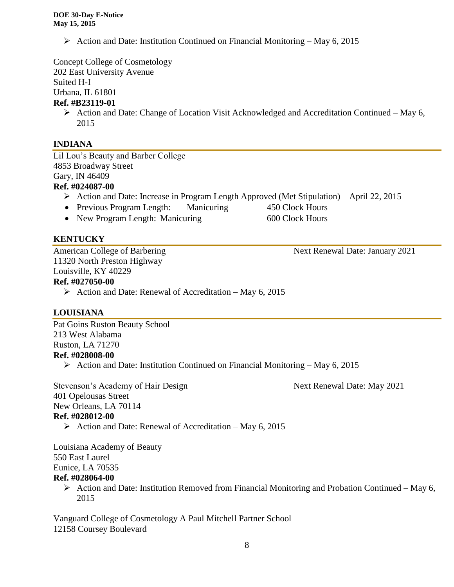Action and Date: Institution Continued on Financial Monitoring – May 6, 2015

Concept College of Cosmetology

202 East University Avenue

Suited H-I

Urbana, IL 61801

# **Ref. #B23119-01**

 $\triangleright$  Action and Date: Change of Location Visit Acknowledged and Accreditation Continued – May 6, 2015

# **INDIANA**

Lil Lou's Beauty and Barber College 4853 Broadway Street Gary, IN 46409

# **Ref. #024087-00**

- $\triangleright$  Action and Date: Increase in Program Length Approved (Met Stipulation) April 22, 2015
- Previous Program Length: Manicuring 450 Clock Hours
- New Program Length: Manicuring 600 Clock Hours

# **KENTUCKY**

American College of Barbering Next Renewal Date: January 2021 11320 North Preston Highway Louisville, KY 40229

# **Ref. #027050-00**

 $\triangleright$  Action and Date: Renewal of Accreditation – May 6, 2015

# **LOUISIANA**

Pat Goins Ruston Beauty School 213 West Alabama Ruston, LA 71270 **Ref. #028008-00**

 $\triangleright$  Action and Date: Institution Continued on Financial Monitoring – May 6, 2015

Stevenson's Academy of Hair Design Next Renewal Date: May 2021 401 Opelousas Street New Orleans, LA 70114 **Ref. #028012-00**

Action and Date: Renewal of Accreditation – May 6, 2015

Louisiana Academy of Beauty 550 East Laurel Eunice, LA 70535

# **Ref. #028064-00**

 $\triangleright$  Action and Date: Institution Removed from Financial Monitoring and Probation Continued – May 6, 2015

Vanguard College of Cosmetology A Paul Mitchell Partner School 12158 Coursey Boulevard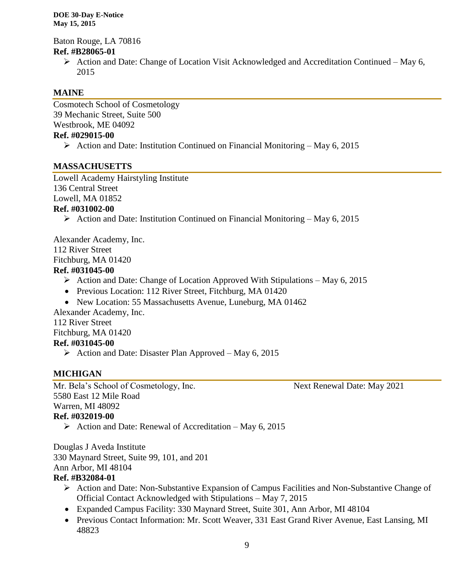Baton Rouge, LA 70816 **Ref. #B28065-01**

> $\triangleright$  Action and Date: Change of Location Visit Acknowledged and Accreditation Continued – May 6, 2015

# **MAINE**

Cosmotech School of Cosmetology 39 Mechanic Street, Suite 500 Westbrook, ME 04092 **Ref. #029015-00**

Action and Date: Institution Continued on Financial Monitoring – May 6, 2015

# **MASSACHUSETTS**

Lowell Academy Hairstyling Institute 136 Central Street Lowell, MA 01852

#### **Ref. #031002-00**

 $\triangleright$  Action and Date: Institution Continued on Financial Monitoring – May 6, 2015

Alexander Academy, Inc. 112 River Street Fitchburg, MA 01420 **Ref. #031045-00**

- Action and Date: Change of Location Approved With Stipulations May 6, 2015
- Previous Location: 112 River Street, Fitchburg, MA 01420
- New Location: 55 Massachusetts Avenue, Luneburg, MA 01462

Alexander Academy, Inc. 112 River Street

Fitchburg, MA 01420

#### **Ref. #031045-00**

Action and Date: Disaster Plan Approved – May 6, 2015

# **MICHIGAN**

Mr. Bela's School of Cosmetology, Inc. Next Renewal Date: May 2021 5580 East 12 Mile Road Warren, MI 48092 **Ref. #032019-00**

Action and Date: Renewal of Accreditation – May 6, 2015

Douglas J Aveda Institute 330 Maynard Street, Suite 99, 101, and 201 Ann Arbor, MI 48104 **Ref. #B32084-01**

- $\triangleright$  Action and Date: Non-Substantive Expansion of Campus Facilities and Non-Substantive Change of Official Contact Acknowledged with Stipulations – May 7, 2015
- Expanded Campus Facility: 330 Maynard Street, Suite 301, Ann Arbor, MI 48104
- Previous Contact Information: Mr. Scott Weaver, 331 East Grand River Avenue, East Lansing, MI 48823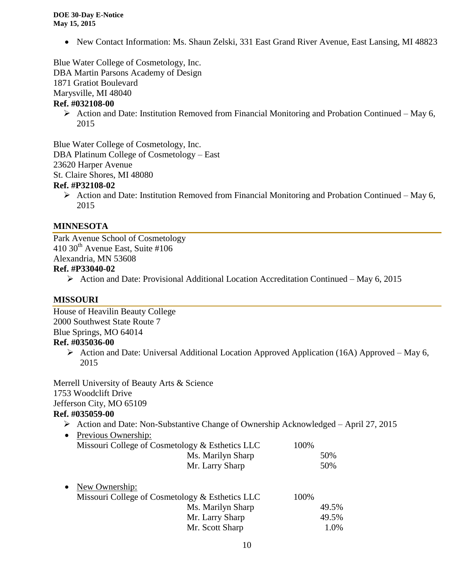• New Contact Information: Ms. Shaun Zelski, 331 East Grand River Avenue, East Lansing, MI 48823

Blue Water College of Cosmetology, Inc. DBA Martin Parsons Academy of Design

1871 Gratiot Boulevard

Marysville, MI 48040

#### **Ref. #032108-00**

 $\triangleright$  Action and Date: Institution Removed from Financial Monitoring and Probation Continued – May 6, 2015

Blue Water College of Cosmetology, Inc. DBA Platinum College of Cosmetology – East 23620 Harper Avenue St. Claire Shores, MI 48080

#### **Ref. #P32108-02**

 $\triangleright$  Action and Date: Institution Removed from Financial Monitoring and Probation Continued – May 6, 2015

#### **MINNESOTA**

Park Avenue School of Cosmetology  $410$  30<sup>th</sup> Avenue East, Suite #106 Alexandria, MN 53608

# **Ref. #P33040-02**

 $\triangleright$  Action and Date: Provisional Additional Location Accreditation Continued – May 6, 2015

#### **MISSOURI**

House of Heavilin Beauty College 2000 Southwest State Route 7 Blue Springs, MO 64014 **Ref. #035036-00**

> $\triangleright$  Action and Date: Universal Additional Location Approved Application (16A) Approved – May 6, 2015

Merrell University of Beauty Arts & Science 1753 Woodclift Drive Jefferson City, MO 65109 **Ref. #035059-00**

# Action and Date: Non-Substantive Change of Ownership Acknowledged – April 27, 2015

|           | $110000$ and $2000000$ $110000$ $10000$ $10000$ $10000$ $10000$ $10000$ $10000$ |       |
|-----------|---------------------------------------------------------------------------------|-------|
| $\bullet$ | Previous Ownership:                                                             |       |
|           | Missouri College of Cosmetology & Esthetics LLC                                 | 100%  |
|           | Ms. Marilyn Sharp                                                               | 50%   |
|           | Mr. Larry Sharp                                                                 | 50%   |
| $\bullet$ | New Ownership:                                                                  |       |
|           | Missouri College of Cosmetology & Esthetics LLC                                 | 100%  |
|           | Ms. Marilyn Sharp                                                               | 49.5% |
|           | Mr. Larry Sharp                                                                 | 49.5% |
|           | Mr. Scott Sharp                                                                 | 1.0%  |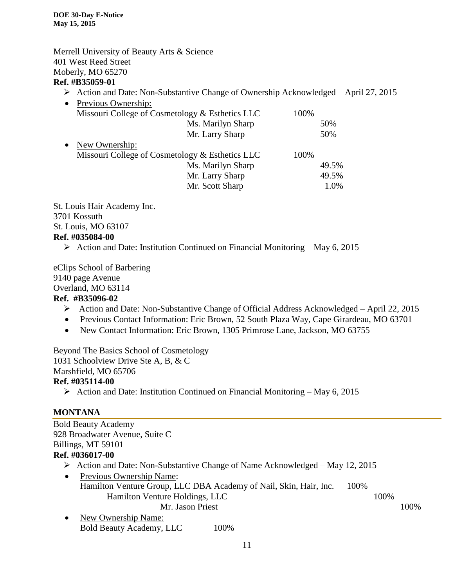#### Merrell University of Beauty Arts & Science 401 West Reed Street Moberly, MO 65270 **Ref. #B35059-01**

 $\triangleright$  Action and Date: Non-Substantive Change of Ownership Acknowledged – April 27, 2015

| Previous Ownership:                             |       |
|-------------------------------------------------|-------|
| Missouri College of Cosmetology & Esthetics LLC | 100%  |
| Ms. Marilyn Sharp                               | 50%   |
| Mr. Larry Sharp                                 | 50%   |
| New Ownership:<br>$\bullet$                     |       |
| Missouri College of Cosmetology & Esthetics LLC | 100%  |
| Ms. Marilyn Sharp                               | 49.5% |
| Mr. Larry Sharp                                 | 49.5% |
| Mr. Scott Sharp                                 | 1.0%  |
|                                                 |       |

St. Louis Hair Academy Inc. 3701 Kossuth St. Louis, MO 63107 **Ref. #035084-00**

Action and Date: Institution Continued on Financial Monitoring – May 6, 2015

eClips School of Barbering 9140 page Avenue Overland, MO 63114

# **Ref. #B35096-02**

- Action and Date: Non-Substantive Change of Official Address Acknowledged April 22, 2015
- Previous Contact Information: Eric Brown, 52 South Plaza Way, Cape Girardeau, MO 63701
- New Contact Information: Eric Brown, 1305 Primrose Lane, Jackson, MO 63755

Beyond The Basics School of Cosmetology 1031 Schoolview Drive Ste A, B, & C Marshfield, MO 65706 **Ref. #035114-00**

 $\triangleright$  Action and Date: Institution Continued on Financial Monitoring – May 6, 2015

# **MONTANA**

| <b>Bold Beauty Academy</b>                                                       |      |      |
|----------------------------------------------------------------------------------|------|------|
| 928 Broadwater Avenue, Suite C                                                   |      |      |
| Billings, MT 59101                                                               |      |      |
| Ref. #036017-00                                                                  |      |      |
| Action and Date: Non-Substantive Change of Name Acknowledged – May 12, 2015<br>➤ |      |      |
| Previous Ownership Name:<br>٠                                                    |      |      |
| Hamilton Venture Group, LLC DBA Academy of Nail, Skin, Hair, Inc.<br>100%        |      |      |
| Hamilton Venture Holdings, LLC                                                   | 100% |      |
| Mr. Jason Priest                                                                 |      | 100% |
| New Ownership Name:<br>$\bullet$                                                 |      |      |
| <b>Bold Beauty Academy, LLC</b><br>100\%                                         |      |      |
|                                                                                  |      |      |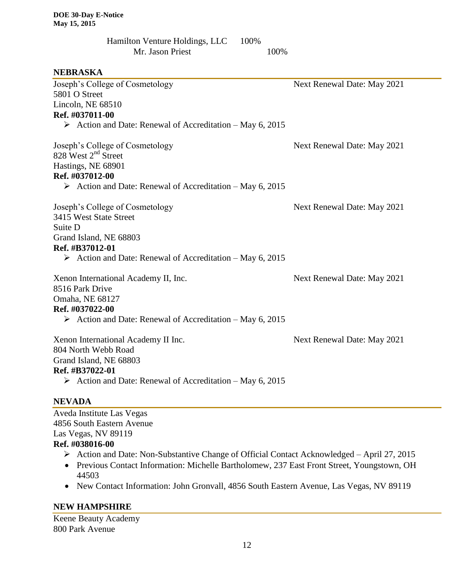| Hamilton Venture Holdings, LLC | 100% |      |
|--------------------------------|------|------|
| Mr. Jason Priest               |      | 100% |

#### **NEBRASKA**

| Joseph's College of Cosmetology                                          | Next Renewal Date: May 2021 |
|--------------------------------------------------------------------------|-----------------------------|
| 5801 O Street                                                            |                             |
| Lincoln, NE 68510                                                        |                             |
| Ref. #037011-00                                                          |                             |
| $\triangleright$ Action and Date: Renewal of Accreditation – May 6, 2015 |                             |
| Joseph's College of Cosmetology                                          | Next Renewal Date: May 2021 |
| 828 West 2 <sup>nd</sup> Street                                          |                             |
| Hastings, NE 68901                                                       |                             |
| Ref. #037012-00                                                          |                             |
| $\triangleright$ Action and Date: Renewal of Accreditation – May 6, 2015 |                             |
| Joseph's College of Cosmetology                                          | Next Renewal Date: May 2021 |
| 3415 West State Street                                                   |                             |
| Suite D                                                                  |                             |
| Grand Island, NE 68803                                                   |                             |
| Ref. #B37012-01                                                          |                             |
| $\triangleright$ Action and Date: Renewal of Accreditation – May 6, 2015 |                             |
| Xenon International Academy II, Inc.                                     | Next Renewal Date: May 2021 |
| 8516 Park Drive                                                          |                             |
| Omaha, NE 68127                                                          |                             |
| Ref. #037022-00                                                          |                             |
| $\triangleright$ Action and Date: Renewal of Accreditation – May 6, 2015 |                             |
| Xenon International Academy II Inc.                                      | Next Renewal Date: May 2021 |
| 804 North Webb Road                                                      |                             |
| Grand Island, NE 68803                                                   |                             |
| Ref. #B37022-01                                                          |                             |
| $\triangleright$ Action and Date: Renewal of Accreditation – May 6, 2015 |                             |
|                                                                          |                             |

#### **NEVADA**

Aveda Institute Las Vegas 4856 South Eastern Avenue Las Vegas, NV 89119 **Ref. #038016-00**

- Action and Date: Non-Substantive Change of Official Contact Acknowledged April 27, 2015
- Previous Contact Information: Michelle Bartholomew, 237 East Front Street, Youngstown, OH 44503
- New Contact Information: John Gronvall, 4856 South Eastern Avenue, Las Vegas, NV 89119

# **NEW HAMPSHIRE**

Keene Beauty Academy 800 Park Avenue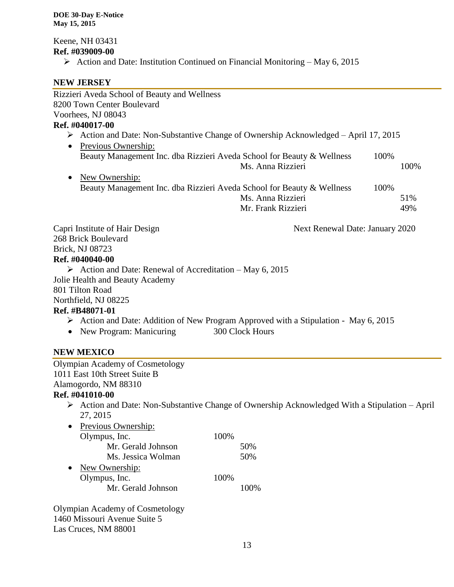Keene, NH 03431 **Ref. #039009-00**

 $\triangleright$  Action and Date: Institution Continued on Financial Monitoring – May 6, 2015

#### **NEW JERSEY**

| Rizzieri Aveda School of Beauty and Wellness                                                        |                                 |      |      |
|-----------------------------------------------------------------------------------------------------|---------------------------------|------|------|
| 8200 Town Center Boulevard                                                                          |                                 |      |      |
| Voorhees, NJ 08043                                                                                  |                                 |      |      |
| Ref. #040017-00                                                                                     |                                 |      |      |
| $\triangleright$ Action and Date: Non-Substantive Change of Ownership Acknowledged – April 17, 2015 |                                 |      |      |
| Previous Ownership:<br>$\bullet$                                                                    |                                 |      |      |
| Beauty Management Inc. dba Rizzieri Aveda School for Beauty & Wellness                              |                                 | 100% |      |
|                                                                                                     | Ms. Anna Rizzieri               |      | 100% |
| New Ownership:                                                                                      |                                 |      |      |
| Beauty Management Inc. dba Rizzieri Aveda School for Beauty & Wellness                              |                                 | 100% |      |
|                                                                                                     | Ms. Anna Rizzieri               |      | 51%  |
|                                                                                                     | Mr. Frank Rizzieri              |      | 49%  |
| Capri Institute of Hair Design                                                                      | Next Renewal Date: January 2020 |      |      |
| 268 Brick Boulevard                                                                                 |                                 |      |      |
| Brick, NJ 08723                                                                                     |                                 |      |      |
| Ref. #040040-00                                                                                     |                                 |      |      |
| $\triangleright$ Action and Date: Renewal of Accreditation – May 6, 2015                            |                                 |      |      |
| Jolie Health and Beauty Academy                                                                     |                                 |      |      |
| 801 Tilton Road                                                                                     |                                 |      |      |
| Northfield, NJ 08225                                                                                |                                 |      |      |
| Ref. #B48071-01                                                                                     |                                 |      |      |
| > Action and Date: Addition of New Program Approved with a Stipulation - May 6, 2015                |                                 |      |      |
| New Program: Manicuring<br>300 Clock Hours                                                          |                                 |      |      |
|                                                                                                     |                                 |      |      |
|                                                                                                     |                                 |      |      |

#### **NEW MEXICO**

Olympian Academy of Cosmetology 1011 East 10th Street Suite B Alamogordo, NM 88310

# **Ref. #041010-00**

 Action and Date: Non-Substantive Change of Ownership Acknowledged With a Stipulation – April 27, 2015

| Previous Ownership: |      |       |
|---------------------|------|-------|
| Olympus, Inc.       | 100% |       |
| Mr. Gerald Johnson  |      | 50%   |
| Ms. Jessica Wolman  |      | 50%   |
| New Ownership:      |      |       |
| Olympus, Inc.       | 100% |       |
| Mr. Gerald Johnson  |      | 100\% |
|                     |      |       |

Olympian Academy of Cosmetology 1460 Missouri Avenue Suite 5 Las Cruces, NM 88001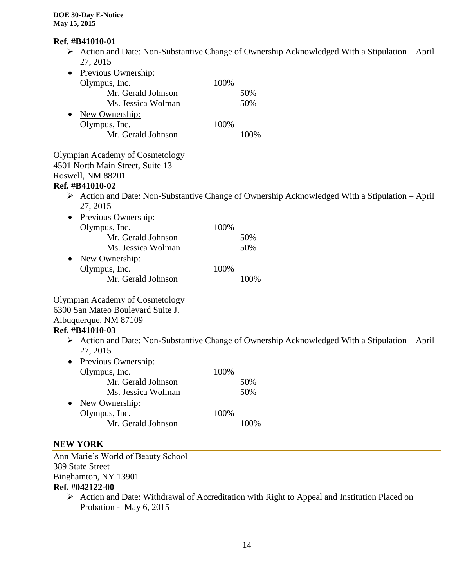#### **Ref. #B41010-01**

 $\triangleright$  Action and Date: Non-Substantive Change of Ownership Acknowledged With a Stipulation – April 27, 2015

| Previous Ownership: |      |      |
|---------------------|------|------|
| Olympus, Inc.       | 100% |      |
| Mr. Gerald Johnson  |      | 50%  |
| Ms. Jessica Wolman  |      | 50%  |
| New Ownership:      |      |      |
| Olympus, Inc.       | 100% |      |
| Mr. Gerald Johnson  |      | 100% |
|                     |      |      |

Olympian Academy of Cosmetology 4501 North Main Street, Suite 13 Roswell, NM 88201

#### **Ref. #B41010-02**

 Action and Date: Non-Substantive Change of Ownership Acknowledged With a Stipulation – April 27, 2015

| Previous Ownership: |      |     |
|---------------------|------|-----|
| Olympus, Inc.       | 100% |     |
| Mr. Gerald Johnson  |      | 50% |
| Ms. Jessica Wolman  |      | 50% |
| New Ownership:      |      |     |
| Olympus, Inc.       | 100% |     |
| Mr. Gerald Johnson  |      |     |

#### Olympian Academy of Cosmetology 6300 San Mateo Boulevard Suite J. Albuquerque, NM 87109

#### **Ref. #B41010-03**

 $\triangleright$  Action and Date: Non-Substantive Change of Ownership Acknowledged With a Stipulation – April 27, 2015

| Previous Ownership: |      |      |
|---------------------|------|------|
| Olympus, Inc.       | 100% |      |
| Mr. Gerald Johnson  |      | 50%  |
| Ms. Jessica Wolman  |      | 50%  |
| New Ownership:      |      |      |
| Olympus, Inc.       | 100% |      |
| Mr. Gerald Johnson  |      | 100% |
|                     |      |      |

#### **NEW YORK**

Ann Marie's World of Beauty School 389 State Street Binghamton, NY 13901 **Ref. #042122-00**

> Action and Date: Withdrawal of Accreditation with Right to Appeal and Institution Placed on Probation - May 6, 2015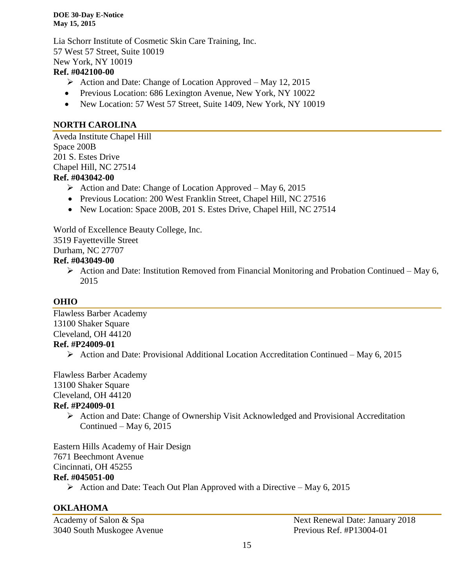Lia Schorr Institute of Cosmetic Skin Care Training, Inc. 57 West 57 Street, Suite 10019 New York, NY 10019

#### **Ref. #042100-00**

- $\triangleright$  Action and Date: Change of Location Approved May 12, 2015
- Previous Location: 686 Lexington Avenue, New York, NY 10022
- New Location: 57 West 57 Street, Suite 1409, New York, NY 10019

# **NORTH CAROLINA**

Aveda Institute Chapel Hill Space 200B 201 S. Estes Drive Chapel Hill, NC 27514 **Ref. #043042-00**

- $\triangleright$  Action and Date: Change of Location Approved May 6, 2015
- Previous Location: 200 West Franklin Street, Chapel Hill, NC 27516
- New Location: Space 200B, 201 S. Estes Drive, Chapel Hill, NC 27514

World of Excellence Beauty College, Inc. 3519 Fayetteville Street

Durham, NC 27707

#### **Ref. #043049-00**

 $\triangleright$  Action and Date: Institution Removed from Financial Monitoring and Probation Continued – May 6, 2015

# **OHIO**

Flawless Barber Academy 13100 Shaker Square Cleveland, OH 44120 **Ref. #P24009-01**

 $\triangleright$  Action and Date: Provisional Additional Location Accreditation Continued – May 6, 2015

Flawless Barber Academy 13100 Shaker Square Cleveland, OH 44120

# **Ref. #P24009-01**

 Action and Date: Change of Ownership Visit Acknowledged and Provisional Accreditation Continued – May 6, 2015

Eastern Hills Academy of Hair Design 7671 Beechmont Avenue Cincinnati, OH 45255 **Ref. #045051-00**

 $\triangleright$  Action and Date: Teach Out Plan Approved with a Directive – May 6, 2015

# **OKLAHOMA**

3040 South Muskogee Avenue Previous Ref. #P13004-01

Academy of Salon & Spa Next Renewal Date: January 2018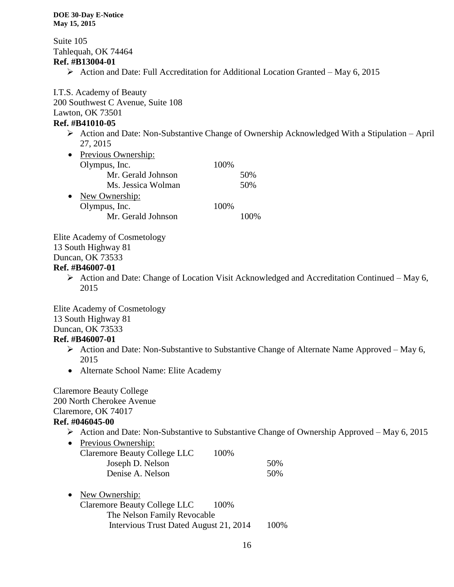Suite 105 Tahlequah, OK 74464 **Ref. #B13004-01**

 $\triangleright$  Action and Date: Full Accreditation for Additional Location Granted – May 6, 2015

I.T.S. Academy of Beauty 200 Southwest C Avenue, Suite 108 Lawton, OK 73501

#### **Ref. #B41010-05**

 $\triangleright$  Action and Date: Non-Substantive Change of Ownership Acknowledged With a Stipulation – April 27, 2015

| $\bullet$ | Previous Ownership: |      |     |
|-----------|---------------------|------|-----|
|           | Olympus, Inc.       | 100% |     |
|           | Mr. Gerald Johnson  |      | 50% |
|           | Ms. Jessica Wolman  |      | 50% |
| $\bullet$ | New Ownership:      |      |     |
|           | Olympus, Inc.       | 100% |     |
|           | Mr. Gerald Johnson  |      |     |

Elite Academy of Cosmetology 13 South Highway 81 Duncan, OK 73533

#### **Ref. #B46007-01**

 $\triangleright$  Action and Date: Change of Location Visit Acknowledged and Accreditation Continued – May 6, 2015

Elite Academy of Cosmetology 13 South Highway 81 Duncan, OK 73533

# **Ref. #B46007-01**

- $\triangleright$  Action and Date: Non-Substantive to Substantive Change of Alternate Name Approved May 6, 2015
- Alternate School Name: Elite Academy

Claremore Beauty College 200 North Cherokee Avenue Claremore, OK 74017 **Ref. #046045-00**

- $\triangleright$  Action and Date: Non-Substantive to Substantive Change of Ownership Approved May 6, 2015
- Previous Ownership: Claremore Beauty College LLC 100% Joseph D. Nelson 50% Denise A. Nelson 50%
- New Ownership: Claremore Beauty College LLC 100% The Nelson Family Revocable Intervious Trust Dated August 21, 2014 100%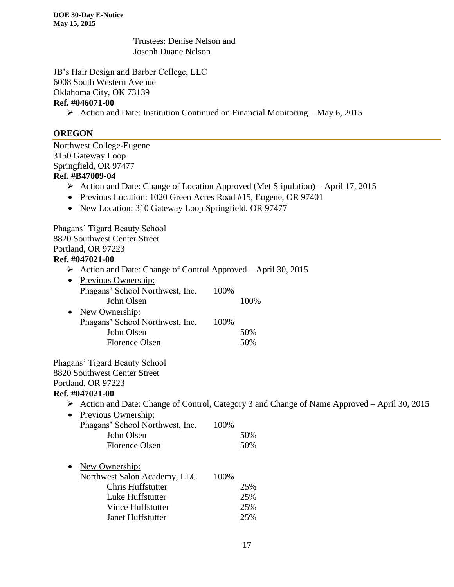Trustees: Denise Nelson and Joseph Duane Nelson

JB's Hair Design and Barber College, LLC 6008 South Western Avenue Oklahoma City, OK 73139

# **Ref. #046071-00**

 $\triangleright$  Action and Date: Institution Continued on Financial Monitoring – May 6, 2015

#### **OREGON**

Northwest College-Eugene 3150 Gateway Loop Springfield, OR 97477 **Ref. #B47009-04** Action and Date: Change of Location Approved (Met Stipulation) – April 17, 2015 • Previous Location: 1020 Green Acres Road #15, Eugene, OR 97401 • New Location: 310 Gateway Loop Springfield, OR 97477 Phagans' Tigard Beauty School 8820 Southwest Center Street Portland, OR 97223 **Ref. #047021-00**  $\triangleright$  Action and Date: Change of Control Approved – April 30, 2015 • Previous Ownership: Phagans' School Northwest, Inc. 100% John Olsen 100% • New Ownership: Phagans' School Northwest, Inc. 100% John Olsen 50% Florence Olsen 50% Phagans' Tigard Beauty School 8820 Southwest Center Street Portland, OR 97223 **Ref. #047021-00** Action and Date: Change of Control, Category 3 and Change of Name Approved – April 30, 2015 • Previous Ownership: Phagans' School Northwest, Inc. 100% John Olsen 50% Florence Olsen 50% • New Ownership: Northwest Salon Academy, LLC 100% Chris Huffstutter 25% Luke Huffstutter 25%

Vince Huffstutter 25% Janet Huffstutter 25%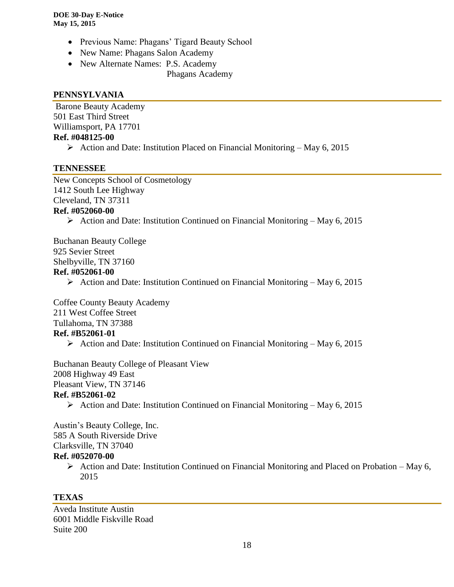- Previous Name: Phagans' Tigard Beauty School
- New Name: Phagans Salon Academy
- New Alternate Names: P.S. Academy
	- Phagans Academy

#### **PENNSYLVANIA**

Barone Beauty Academy 501 East Third Street Williamsport, PA 17701 **Ref. #048125-00**

 $\triangleright$  Action and Date: Institution Placed on Financial Monitoring – May 6, 2015

#### **TENNESSEE**

New Concepts School of Cosmetology 1412 South Lee Highway Cleveland, TN 37311 **Ref. #052060-00**

 $\triangleright$  Action and Date: Institution Continued on Financial Monitoring – May 6, 2015

Buchanan Beauty College 925 Sevier Street Shelbyville, TN 37160 **Ref. #052061-00**

 $\triangleright$  Action and Date: Institution Continued on Financial Monitoring – May 6, 2015

Coffee County Beauty Academy 211 West Coffee Street

Tullahoma, TN 37388

#### **Ref. #B52061-01**

 $\triangleright$  Action and Date: Institution Continued on Financial Monitoring – May 6, 2015

Buchanan Beauty College of Pleasant View 2008 Highway 49 East

Pleasant View, TN 37146

# **Ref. #B52061-02**

Action and Date: Institution Continued on Financial Monitoring – May 6, 2015

Austin's Beauty College, Inc. 585 A South Riverside Drive Clarksville, TN 37040

# **Ref. #052070-00**

 $\triangleright$  Action and Date: Institution Continued on Financial Monitoring and Placed on Probation – May 6, 2015

# **TEXAS**

Aveda Institute Austin 6001 Middle Fiskville Road Suite 200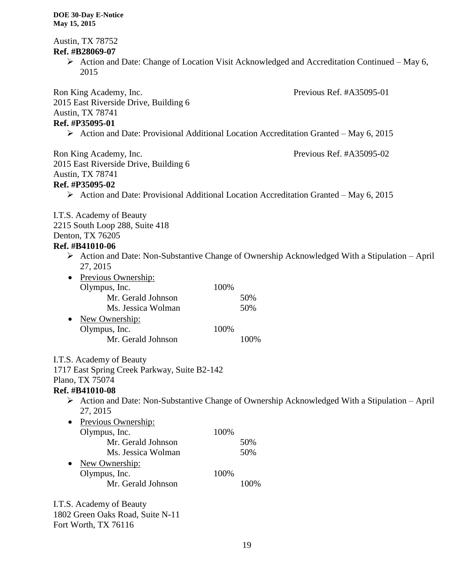Austin, TX 78752 **Ref. #B28069-07**  $\triangleright$  Action and Date: Change of Location Visit Acknowledged and Accreditation Continued – May 6, 2015 Ron King Academy, Inc. Previous Ref. #A35095-01 2015 East Riverside Drive, Building 6 Austin, TX 78741 **Ref. #P35095-01**  $\triangleright$  Action and Date: Provisional Additional Location Accreditation Granted – May 6, 2015 Ron King Academy, Inc. The Previous Ref. #A35095-02 2015 East Riverside Drive, Building 6 Austin, TX 78741 **Ref. #P35095-02**  $\triangleright$  Action and Date: Provisional Additional Location Accreditation Granted – May 6, 2015 I.T.S. Academy of Beauty 2215 South Loop 288, Suite 418 Denton, TX 76205 **Ref. #B41010-06**  $\triangleright$  Action and Date: Non-Substantive Change of Ownership Acknowledged With a Stipulation – April 27, 2015 • Previous Ownership: Olympus, Inc. 100% Mr. Gerald Johnson 50% Ms. Jessica Wolman 50% • New Ownership: Olympus, Inc. 100% Mr. Gerald Johnson 100% I.T.S. Academy of Beauty 1717 East Spring Creek Parkway, Suite B2-142 Plano, TX 75074 **Ref. #B41010-08**  $\triangleright$  Action and Date: Non-Substantive Change of Ownership Acknowledged With a Stipulation – April 27, 2015 • Previous Ownership: Olympus, Inc. 100% Mr. Gerald Johnson 50% Ms. Jessica Wolman 50% • New Ownership: Olympus, Inc. 100% Mr. Gerald Johnson 100%

I.T.S. Academy of Beauty 1802 Green Oaks Road, Suite N-11 Fort Worth, TX 76116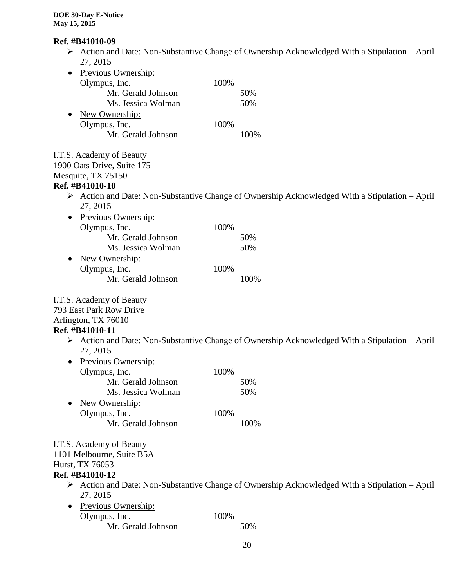# **Ref. #B41010-09**

 Action and Date: Non-Substantive Change of Ownership Acknowledged With a Stipulation – April 27, 2015

| Previous Ownership:<br>100%<br>Olympus, Inc.<br>Mr. Gerald Johnson<br>50%<br>Ms. Jessica Wolman<br>50%<br>New Ownership:<br>٠<br>Olympus, Inc.<br>100%<br>Mr. Gerald Johnson<br>100%<br>I.T.S. Academy of Beauty<br>1900 Oats Drive, Suite 175<br>Mesquite, TX 75150<br>Ref. #B41010-10<br>$\triangleright$ Action and Date: Non-Substantive Change of Ownership Acknowledged With a Stipulation – April<br>27, 2015<br>Previous Ownership:<br>Olympus, Inc.<br>100%<br>Mr. Gerald Johnson<br>50%<br>Ms. Jessica Wolman<br>50%<br>New Ownership:<br>Olympus, Inc.<br>100%<br>Mr. Gerald Johnson<br>100%<br>I.T.S. Academy of Beauty<br>793 East Park Row Drive<br>Arlington, TX 76010<br>Ref. #B41010-11<br>$\triangleright$ Action and Date: Non-Substantive Change of Ownership Acknowledged With a Stipulation – April<br>27, 2015<br>Previous Ownership:<br>Olympus, Inc.<br>100%<br>Mr. Gerald Johnson<br>50%<br>50%<br>Ms. Jessica Wolman<br>New Ownership:<br>Olympus, Inc.<br>100%<br>Mr. Gerald Johnson<br>100%<br>I.T.S. Academy of Beauty<br>1101 Melbourne, Suite B5A<br>Hurst, TX 76053<br>Ref. #B41010-12<br>$\triangleright$ Action and Date: Non-Substantive Change of Ownership Acknowledged With a Stipulation – April<br>27, 2015<br><b>Previous Ownership:</b><br>Olympus, Inc.<br>100%<br>Mr. Gerald Johnson<br>50% |  |  |
|------------------------------------------------------------------------------------------------------------------------------------------------------------------------------------------------------------------------------------------------------------------------------------------------------------------------------------------------------------------------------------------------------------------------------------------------------------------------------------------------------------------------------------------------------------------------------------------------------------------------------------------------------------------------------------------------------------------------------------------------------------------------------------------------------------------------------------------------------------------------------------------------------------------------------------------------------------------------------------------------------------------------------------------------------------------------------------------------------------------------------------------------------------------------------------------------------------------------------------------------------------------------------------------------------------------------------------------|--|--|
|                                                                                                                                                                                                                                                                                                                                                                                                                                                                                                                                                                                                                                                                                                                                                                                                                                                                                                                                                                                                                                                                                                                                                                                                                                                                                                                                          |  |  |
|                                                                                                                                                                                                                                                                                                                                                                                                                                                                                                                                                                                                                                                                                                                                                                                                                                                                                                                                                                                                                                                                                                                                                                                                                                                                                                                                          |  |  |
|                                                                                                                                                                                                                                                                                                                                                                                                                                                                                                                                                                                                                                                                                                                                                                                                                                                                                                                                                                                                                                                                                                                                                                                                                                                                                                                                          |  |  |
|                                                                                                                                                                                                                                                                                                                                                                                                                                                                                                                                                                                                                                                                                                                                                                                                                                                                                                                                                                                                                                                                                                                                                                                                                                                                                                                                          |  |  |
|                                                                                                                                                                                                                                                                                                                                                                                                                                                                                                                                                                                                                                                                                                                                                                                                                                                                                                                                                                                                                                                                                                                                                                                                                                                                                                                                          |  |  |
|                                                                                                                                                                                                                                                                                                                                                                                                                                                                                                                                                                                                                                                                                                                                                                                                                                                                                                                                                                                                                                                                                                                                                                                                                                                                                                                                          |  |  |
|                                                                                                                                                                                                                                                                                                                                                                                                                                                                                                                                                                                                                                                                                                                                                                                                                                                                                                                                                                                                                                                                                                                                                                                                                                                                                                                                          |  |  |
|                                                                                                                                                                                                                                                                                                                                                                                                                                                                                                                                                                                                                                                                                                                                                                                                                                                                                                                                                                                                                                                                                                                                                                                                                                                                                                                                          |  |  |
|                                                                                                                                                                                                                                                                                                                                                                                                                                                                                                                                                                                                                                                                                                                                                                                                                                                                                                                                                                                                                                                                                                                                                                                                                                                                                                                                          |  |  |
|                                                                                                                                                                                                                                                                                                                                                                                                                                                                                                                                                                                                                                                                                                                                                                                                                                                                                                                                                                                                                                                                                                                                                                                                                                                                                                                                          |  |  |
|                                                                                                                                                                                                                                                                                                                                                                                                                                                                                                                                                                                                                                                                                                                                                                                                                                                                                                                                                                                                                                                                                                                                                                                                                                                                                                                                          |  |  |
|                                                                                                                                                                                                                                                                                                                                                                                                                                                                                                                                                                                                                                                                                                                                                                                                                                                                                                                                                                                                                                                                                                                                                                                                                                                                                                                                          |  |  |
|                                                                                                                                                                                                                                                                                                                                                                                                                                                                                                                                                                                                                                                                                                                                                                                                                                                                                                                                                                                                                                                                                                                                                                                                                                                                                                                                          |  |  |
|                                                                                                                                                                                                                                                                                                                                                                                                                                                                                                                                                                                                                                                                                                                                                                                                                                                                                                                                                                                                                                                                                                                                                                                                                                                                                                                                          |  |  |
|                                                                                                                                                                                                                                                                                                                                                                                                                                                                                                                                                                                                                                                                                                                                                                                                                                                                                                                                                                                                                                                                                                                                                                                                                                                                                                                                          |  |  |
|                                                                                                                                                                                                                                                                                                                                                                                                                                                                                                                                                                                                                                                                                                                                                                                                                                                                                                                                                                                                                                                                                                                                                                                                                                                                                                                                          |  |  |
|                                                                                                                                                                                                                                                                                                                                                                                                                                                                                                                                                                                                                                                                                                                                                                                                                                                                                                                                                                                                                                                                                                                                                                                                                                                                                                                                          |  |  |
|                                                                                                                                                                                                                                                                                                                                                                                                                                                                                                                                                                                                                                                                                                                                                                                                                                                                                                                                                                                                                                                                                                                                                                                                                                                                                                                                          |  |  |
|                                                                                                                                                                                                                                                                                                                                                                                                                                                                                                                                                                                                                                                                                                                                                                                                                                                                                                                                                                                                                                                                                                                                                                                                                                                                                                                                          |  |  |
|                                                                                                                                                                                                                                                                                                                                                                                                                                                                                                                                                                                                                                                                                                                                                                                                                                                                                                                                                                                                                                                                                                                                                                                                                                                                                                                                          |  |  |
|                                                                                                                                                                                                                                                                                                                                                                                                                                                                                                                                                                                                                                                                                                                                                                                                                                                                                                                                                                                                                                                                                                                                                                                                                                                                                                                                          |  |  |
|                                                                                                                                                                                                                                                                                                                                                                                                                                                                                                                                                                                                                                                                                                                                                                                                                                                                                                                                                                                                                                                                                                                                                                                                                                                                                                                                          |  |  |
|                                                                                                                                                                                                                                                                                                                                                                                                                                                                                                                                                                                                                                                                                                                                                                                                                                                                                                                                                                                                                                                                                                                                                                                                                                                                                                                                          |  |  |
|                                                                                                                                                                                                                                                                                                                                                                                                                                                                                                                                                                                                                                                                                                                                                                                                                                                                                                                                                                                                                                                                                                                                                                                                                                                                                                                                          |  |  |
|                                                                                                                                                                                                                                                                                                                                                                                                                                                                                                                                                                                                                                                                                                                                                                                                                                                                                                                                                                                                                                                                                                                                                                                                                                                                                                                                          |  |  |
|                                                                                                                                                                                                                                                                                                                                                                                                                                                                                                                                                                                                                                                                                                                                                                                                                                                                                                                                                                                                                                                                                                                                                                                                                                                                                                                                          |  |  |
|                                                                                                                                                                                                                                                                                                                                                                                                                                                                                                                                                                                                                                                                                                                                                                                                                                                                                                                                                                                                                                                                                                                                                                                                                                                                                                                                          |  |  |
|                                                                                                                                                                                                                                                                                                                                                                                                                                                                                                                                                                                                                                                                                                                                                                                                                                                                                                                                                                                                                                                                                                                                                                                                                                                                                                                                          |  |  |
|                                                                                                                                                                                                                                                                                                                                                                                                                                                                                                                                                                                                                                                                                                                                                                                                                                                                                                                                                                                                                                                                                                                                                                                                                                                                                                                                          |  |  |
|                                                                                                                                                                                                                                                                                                                                                                                                                                                                                                                                                                                                                                                                                                                                                                                                                                                                                                                                                                                                                                                                                                                                                                                                                                                                                                                                          |  |  |
|                                                                                                                                                                                                                                                                                                                                                                                                                                                                                                                                                                                                                                                                                                                                                                                                                                                                                                                                                                                                                                                                                                                                                                                                                                                                                                                                          |  |  |
|                                                                                                                                                                                                                                                                                                                                                                                                                                                                                                                                                                                                                                                                                                                                                                                                                                                                                                                                                                                                                                                                                                                                                                                                                                                                                                                                          |  |  |
|                                                                                                                                                                                                                                                                                                                                                                                                                                                                                                                                                                                                                                                                                                                                                                                                                                                                                                                                                                                                                                                                                                                                                                                                                                                                                                                                          |  |  |
|                                                                                                                                                                                                                                                                                                                                                                                                                                                                                                                                                                                                                                                                                                                                                                                                                                                                                                                                                                                                                                                                                                                                                                                                                                                                                                                                          |  |  |
|                                                                                                                                                                                                                                                                                                                                                                                                                                                                                                                                                                                                                                                                                                                                                                                                                                                                                                                                                                                                                                                                                                                                                                                                                                                                                                                                          |  |  |
|                                                                                                                                                                                                                                                                                                                                                                                                                                                                                                                                                                                                                                                                                                                                                                                                                                                                                                                                                                                                                                                                                                                                                                                                                                                                                                                                          |  |  |
|                                                                                                                                                                                                                                                                                                                                                                                                                                                                                                                                                                                                                                                                                                                                                                                                                                                                                                                                                                                                                                                                                                                                                                                                                                                                                                                                          |  |  |
|                                                                                                                                                                                                                                                                                                                                                                                                                                                                                                                                                                                                                                                                                                                                                                                                                                                                                                                                                                                                                                                                                                                                                                                                                                                                                                                                          |  |  |
|                                                                                                                                                                                                                                                                                                                                                                                                                                                                                                                                                                                                                                                                                                                                                                                                                                                                                                                                                                                                                                                                                                                                                                                                                                                                                                                                          |  |  |
|                                                                                                                                                                                                                                                                                                                                                                                                                                                                                                                                                                                                                                                                                                                                                                                                                                                                                                                                                                                                                                                                                                                                                                                                                                                                                                                                          |  |  |
|                                                                                                                                                                                                                                                                                                                                                                                                                                                                                                                                                                                                                                                                                                                                                                                                                                                                                                                                                                                                                                                                                                                                                                                                                                                                                                                                          |  |  |
|                                                                                                                                                                                                                                                                                                                                                                                                                                                                                                                                                                                                                                                                                                                                                                                                                                                                                                                                                                                                                                                                                                                                                                                                                                                                                                                                          |  |  |
|                                                                                                                                                                                                                                                                                                                                                                                                                                                                                                                                                                                                                                                                                                                                                                                                                                                                                                                                                                                                                                                                                                                                                                                                                                                                                                                                          |  |  |
|                                                                                                                                                                                                                                                                                                                                                                                                                                                                                                                                                                                                                                                                                                                                                                                                                                                                                                                                                                                                                                                                                                                                                                                                                                                                                                                                          |  |  |
|                                                                                                                                                                                                                                                                                                                                                                                                                                                                                                                                                                                                                                                                                                                                                                                                                                                                                                                                                                                                                                                                                                                                                                                                                                                                                                                                          |  |  |
|                                                                                                                                                                                                                                                                                                                                                                                                                                                                                                                                                                                                                                                                                                                                                                                                                                                                                                                                                                                                                                                                                                                                                                                                                                                                                                                                          |  |  |
|                                                                                                                                                                                                                                                                                                                                                                                                                                                                                                                                                                                                                                                                                                                                                                                                                                                                                                                                                                                                                                                                                                                                                                                                                                                                                                                                          |  |  |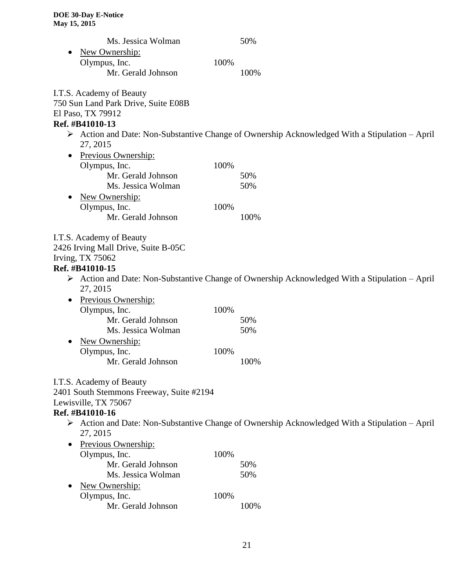| Ms. Jessica Wolman                           | 50%                                                                                                           |
|----------------------------------------------|---------------------------------------------------------------------------------------------------------------|
| New Ownership:                               |                                                                                                               |
| Olympus, Inc.<br>100%                        |                                                                                                               |
| Mr. Gerald Johnson                           | 100%                                                                                                          |
|                                              |                                                                                                               |
| I.T.S. Academy of Beauty                     |                                                                                                               |
| 750 Sun Land Park Drive, Suite E08B          |                                                                                                               |
| El Paso, TX 79912<br>Ref. #B41010-13         |                                                                                                               |
| 27, 2015                                     | $\triangleright$ Action and Date: Non-Substantive Change of Ownership Acknowledged With a Stipulation – April |
|                                              |                                                                                                               |
| Previous Ownership:<br>Olympus, Inc.<br>100% |                                                                                                               |
| Mr. Gerald Johnson                           | 50%                                                                                                           |
| Ms. Jessica Wolman                           | 50%                                                                                                           |
|                                              |                                                                                                               |
| New Ownership:<br>Olympus, Inc.<br>100%      |                                                                                                               |
| Mr. Gerald Johnson                           | 100%                                                                                                          |
|                                              |                                                                                                               |
| I.T.S. Academy of Beauty                     |                                                                                                               |
| 2426 Irving Mall Drive, Suite B-05C          |                                                                                                               |
| <b>Irving, TX 75062</b>                      |                                                                                                               |
| Ref. #B41010-15                              |                                                                                                               |
|                                              | $\triangleright$ Action and Date: Non-Substantive Change of Ownership Acknowledged With a Stipulation – April |
| 27, 2015                                     |                                                                                                               |
| Previous Ownership:<br>$\bullet$             |                                                                                                               |
| 100%<br>Olympus, Inc.<br>Mr. Gerald Johnson  |                                                                                                               |
| Ms. Jessica Wolman                           | 50%<br>50%                                                                                                    |
|                                              |                                                                                                               |
| New Ownership:                               |                                                                                                               |
| Olympus, Inc.<br>100%<br>Mr. Gerald Johnson  | 100%                                                                                                          |
|                                              |                                                                                                               |
| I.T.S. Academy of Beauty                     |                                                                                                               |
| 2401 South Stemmons Freeway, Suite #2194     |                                                                                                               |
| Lewisville, TX 75067                         |                                                                                                               |
| Ref. #B41010-16                              |                                                                                                               |
| 27, 2015                                     | > Action and Date: Non-Substantive Change of Ownership Acknowledged With a Stipulation - April                |
| Previous Ownership:                          |                                                                                                               |
| Olympus, Inc.<br>100%                        |                                                                                                               |
| Mr. Gerald Johnson                           | 50%                                                                                                           |
| Ms. Jessica Wolman                           | 50%                                                                                                           |
| New Ownership:                               |                                                                                                               |
| Olympus, Inc.<br>100%                        |                                                                                                               |
| Mr. Gerald Johnson                           | 100%                                                                                                          |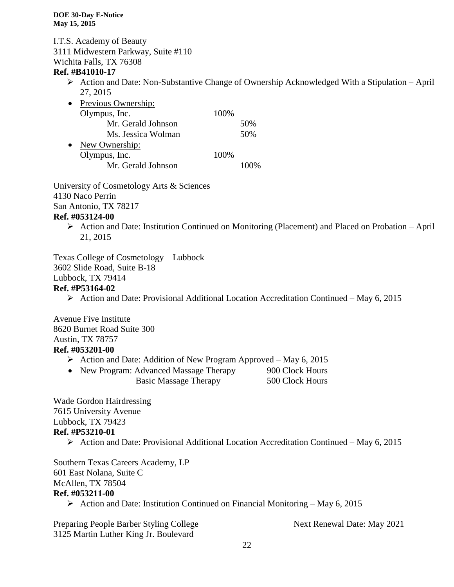I.T.S. Academy of Beauty 3111 Midwestern Parkway, Suite #110

Wichita Falls, TX 76308

#### **Ref. #B41010-17**

 $\triangleright$  Action and Date: Non-Substantive Change of Ownership Acknowledged With a Stipulation – April 27, 2015

| Previous Ownership: |      |     |
|---------------------|------|-----|
| Olympus, Inc.       | 100% |     |
| Mr. Gerald Johnson  |      | 50% |
| Ms. Jessica Wolman  |      | 50% |
| New Ownership:      |      |     |
| Olympus, Inc.       | 100% |     |
| Mr. Gerald Johnson  |      |     |
|                     |      |     |

University of Cosmetology Arts & Sciences 4130 Naco Perrin San Antonio, TX 78217 **Ref. #053124-00**

 $\triangleright$  Action and Date: Institution Continued on Monitoring (Placement) and Placed on Probation – April 21, 2015

Texas College of Cosmetology – Lubbock 3602 Slide Road, Suite B-18 Lubbock, TX 79414

#### **Ref. #P53164-02**

 $\triangleright$  Action and Date: Provisional Additional Location Accreditation Continued – May 6, 2015

Avenue Five Institute 8620 Burnet Road Suite 300 Austin, TX 78757 **Ref. #053201-00**

- $\triangleright$  Action and Date: Addition of New Program Approved May 6, 2015
- New Program: Advanced Massage Therapy 900 Clock Hours Basic Massage Therapy 500 Clock Hours

Wade Gordon Hairdressing 7615 University Avenue Lubbock, TX 79423 **Ref. #P53210-01**

Action and Date: Provisional Additional Location Accreditation Continued – May 6, 2015

Southern Texas Careers Academy, LP 601 East Nolana, Suite C McAllen, TX 78504 **Ref. #053211-00**

Action and Date: Institution Continued on Financial Monitoring – May 6, 2015

Preparing People Barber Styling College Next Renewal Date: May 2021 3125 Martin Luther King Jr. Boulevard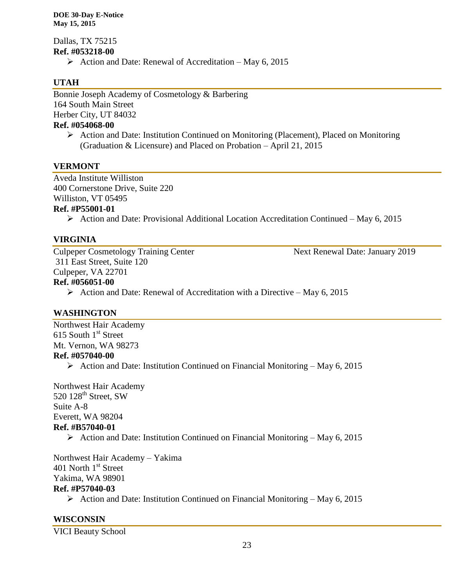Dallas, TX 75215 **Ref. #053218-00**

 $\triangleright$  Action and Date: Renewal of Accreditation – May 6, 2015

# **UTAH**

Bonnie Joseph Academy of Cosmetology & Barbering 164 South Main Street Herber City, UT 84032 **Ref. #054068-00**

 $\triangleright$  Action and Date: Institution Continued on Monitoring (Placement), Placed on Monitoring (Graduation & Licensure) and Placed on Probation – April 21, 2015

#### **VERMONT**

Aveda Institute Williston 400 Cornerstone Drive, Suite 220 Williston, VT 05495

# **Ref. #P55001-01**

Action and Date: Provisional Additional Location Accreditation Continued – May 6, 2015

#### **VIRGINIA**

Culpeper Cosmetology Training Center Next Renewal Date: January 2019 311 East Street, Suite 120 Culpeper, VA 22701 **Ref. #056051-00**

 $\triangleright$  Action and Date: Renewal of Accreditation with a Directive – May 6, 2015

#### **WASHINGTON**

Northwest Hair Academy 615 South  $1<sup>st</sup>$  Street Mt. Vernon, WA 98273 **Ref. #057040-00** Action and Date: Institution Continued on Financial Monitoring – May 6, 2015

Northwest Hair Academy 520 128<sup>th</sup> Street, SW Suite A-8 Everett, WA 98204 **Ref. #B57040-01**

Action and Date: Institution Continued on Financial Monitoring – May 6, 2015

Northwest Hair Academy – Yakima 401 North 1<sup>st</sup> Street Yakima, WA 98901 **Ref. #P57040-03**

Action and Date: Institution Continued on Financial Monitoring – May 6, 2015

# **WISCONSIN**

VICI Beauty School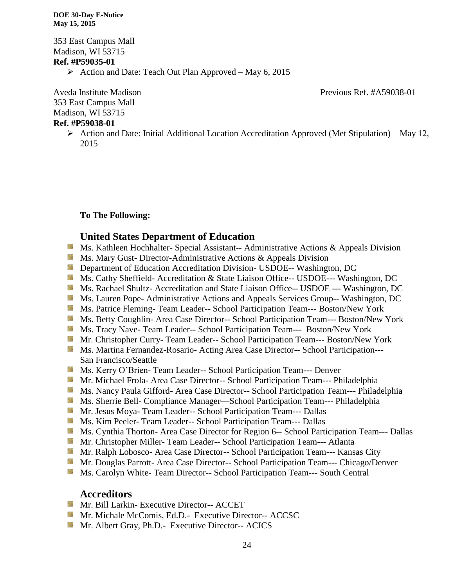353 East Campus Mall Madison, WI 53715 **Ref. #P59035-01**

Action and Date: Teach Out Plan Approved – May 6, 2015

Aveda Institute Madison **Previous Ref.** #A59038-01

353 East Campus Mall Madison, WI 53715

#### **Ref. #P59038-01**

 $\triangleright$  Action and Date: Initial Additional Location Accreditation Approved (Met Stipulation) – May 12, 2015

#### **To The Following:**

#### **United States Department of Education**

- **Ms. Kathleen Hochhalter- Special Assistant-- Administrative Actions & Appeals Division**
- **Ms. Mary Gust- Director-Administrative Actions & Appeals Division**
- **Example 20 Interversity Department of Education Accreditation Division- USDOE-- Washington, DC**
- Ms. Cathy Sheffield- Accreditation & State Liaison Office-- USDOE--- Washington, DC
- Ms. Rachael Shultz- Accreditation and State Liaison Office-- USDOE --- Washington, DC
- **MS. Lauren Pope- Administrative Actions and Appeals Services Group-- Washington, DC**
- Ms. Patrice Fleming- Team Leader-- School Participation Team--- Boston/New York
- Ms. Betty Coughlin- Area Case Director-- School Participation Team--- Boston/New York
- Ms. Tracy Nave- Team Leader-- School Participation Team--- Boston/New York
- **Mr. Christopher Curry- Team Leader-- School Participation Team--- Boston/New York**
- **Ms. Martina Fernandez-Rosario- Acting Area Case Director-- School Participation---**San Francisco/Seattle
- **MS. Kerry O'Brien- Team Leader-- School Participation Team--- Denver**
- **Mr. Michael Frola- Area Case Director-- School Participation Team--- Philadelphia**
- Ms. Nancy Paula Gifford- Area Case Director-- School Participation Team--- Philadelphia
- Ms. Sherrie Bell- Compliance Manager—School Participation Team--- Philadelphia
- Mr. Jesus Moya- Team Leader-- School Participation Team--- Dallas
- Ms. Kim Peeler- Team Leader-- School Participation Team--- Dallas
- **Ms. Cynthia Thorton- Area Case Director for Region 6-- School Participation Team--- Dallas**
- Mr. Christopher Miller- Team Leader-- School Participation Team--- Atlanta
- Mr. Ralph Lobosco- Area Case Director-- School Participation Team--- Kansas City
- **Mr. Douglas Parrott- Area Case Director-- School Participation Team--- Chicago/Denver**
- **MS. Carolyn White-Team Director-- School Participation Team--- South Central**

#### **Accreditors**

- **Mr. Bill Larkin- Executive Director-- ACCET**
- **Mr. Michale McComis, Ed.D.- Executive Director-- ACCSC**
- **Mr.** Albert Gray, Ph.D.- Executive Director-- ACICS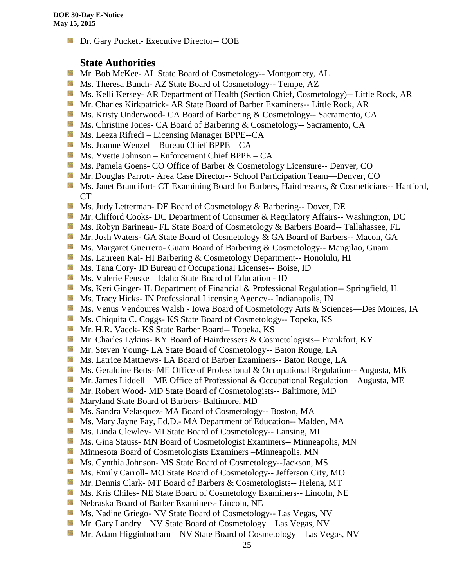**Dr.** Gary Puckett- Executive Director-- COE

# **State Authorities**

- Mr. Bob McKee- AL State Board of Cosmetology-- Montgomery, AL
- Ms. Theresa Bunch- AZ State Board of Cosmetology-- Tempe, AZ
- **Ms. Kelli Kersey- AR Department of Health (Section Chief, Cosmetology)**-- Little Rock, AR
- Mr. Charles Kirkpatrick- AR State Board of Barber Examiners-- Little Rock, AR
- **Ms. Kristy Underwood- CA Board of Barbering & Cosmetology-- Sacramento, CA**
- Ms. Christine Jones- CA Board of Barbering & Cosmetology-- Sacramento, CA
- **Ms. Leeza Rifredi** Licensing Manager BPPE--CA
- Ms. Joanne Wenzel Bureau Chief BPPE—CA
- Ms. Yvette Johnson Enforcement Chief BPPE CA
- Ms. Pamela Goens- CO Office of Barber & Cosmetology Licensure-- Denver, CO
- **Mr. Douglas Parrott- Area Case Director-- School Participation Team—Denver, CO**
- **Ms. Janet Brancifort- CT Examining Board for Barbers, Hairdressers, & Cosmeticians-- Hartford,** CT
- Ms. Judy Letterman- DE Board of Cosmetology & Barbering-- Dover, DE
- **Mr. Clifford Cooks- DC Department of Consumer & Regulatory Affairs-- Washington, DC**
- Ms. Robyn Barineau- FL State Board of Cosmetology & Barbers Board-- Tallahassee, FL
- Mr. Josh Waters- GA State Board of Cosmetology & GA Board of Barbers-- Macon, GA
- **Ms. Margaret Guerrero- Guam Board of Barbering & Cosmetology-- Mangilao, Guam**
- **Ms. Laureen Kai- HI Barbering & Cosmetology Department-- Honolulu, HI**
- **Ms.** Tana Cory- ID Bureau of Occupational Licenses-- Boise, ID
- Ms. Valerie Fenske Idaho State Board of Education ID
- **Ms. Keri Ginger- IL Department of Financial & Professional Regulation-- Springfield, IL**
- **Ms.** Tracy Hicks- IN Professional Licensing Agency-- Indianapolis, IN
- Ms. Venus Vendoures Walsh Iowa Board of Cosmetology Arts & Sciences—Des Moines, IA
- **Ms.** Chiquita C. Coggs- KS State Board of Cosmetology-- Topeka, KS
- Mr. H.R. Vacek- KS State Barber Board-- Topeka, KS
- **Mr.** Charles Lykins- KY Board of Hairdressers & Cosmetologists-- Frankfort, KY
- **Mr.** Steven Young-LA State Board of Cosmetology-- Baton Rouge, LA
- Ms. Latrice Matthews- LA Board of Barber Examiners-- Baton Rouge, LA
- **Ms. Geraldine Betts- ME Office of Professional & Occupational Regulation-- Augusta, ME**
- Mr. James Liddell ME Office of Professional & Occupational Regulation—Augusta, ME
- Mr. Robert Wood- MD State Board of Cosmetologists-- Baltimore, MD
- **Maryland State Board of Barbers- Baltimore, MD**
- Ms. Sandra Velasquez- MA Board of Cosmetology-- Boston, MA
- Ms. Mary Jayne Fay, Ed.D.- MA Department of Education-- Malden, MA
- Ms. Linda Clewley- MI State Board of Cosmetology-- Lansing, MI
- **Ms.** Gina Stauss- MN Board of Cosmetologist Examiners-- Minneapolis, MN
- **M** Minnesota Board of Cosmetologists Examiners –Minneapolis, MN
- **Ms.** Cynthia Johnson- MS State Board of Cosmetology--Jackson, MS
- Ms. Emily Carroll- MO State Board of Cosmetology-- Jefferson City, MO
- Mr. Dennis Clark- MT Board of Barbers & Cosmetologists-- Helena, MT
- Ms. Kris Chiles- NE State Board of Cosmetology Examiners-- Lincoln, NE
- Nebraska Board of Barber Examiners- Lincoln, NE
- Ms. Nadine Griego- NV State Board of Cosmetology-- Las Vegas, NV
- Mr. Gary Landry NV State Board of Cosmetology Las Vegas, NV
- Mr. Adam Higginbotham NV State Board of Cosmetology Las Vegas, NV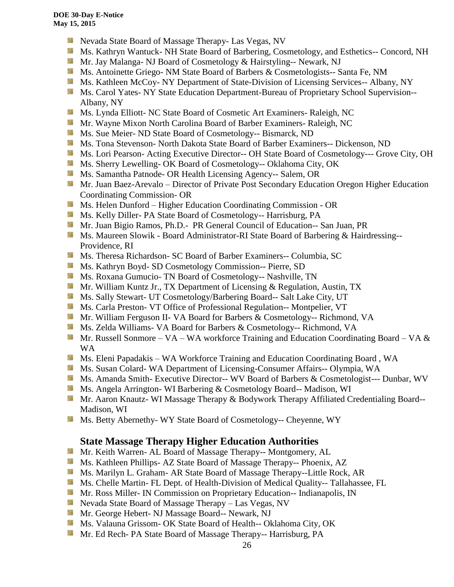- **Nevada State Board of Massage Therapy- Las Vegas, NV**
- Ms. Kathryn Wantuck- NH State Board of Barbering, Cosmetology, and Esthetics-- Concord, NH
- Mr. Jay Malanga- NJ Board of Cosmetology & Hairstyling-- Newark, NJ
- **MS.** Antoinette Griego- NM State Board of Barbers & Cosmetologists-- Santa Fe, NM
- **Ms. Kathleen McCoy- NY Department of State-Division of Licensing Services-- Albany, NY**
- Ms. Carol Yates- NY State Education Department-Bureau of Proprietary School Supervision--Albany, NY
- Ms. Lynda Elliott- NC State Board of Cosmetic Art Examiners- Raleigh, NC
- **Mr.** Wayne Mixon North Carolina Board of Barber Examiners- Raleigh, NC
- **MS.** Sue Meier- ND State Board of Cosmetology-- Bismarck, ND
- **Ms. Tona Stevenson- North Dakota State Board of Barber Examiners-- Dickenson, ND**
- **Ms. Lori Pearson- Acting Executive Director-- OH State Board of Cosmetology--- Grove City, OH**
- Ms. Sherry Lewelling- OK Board of Cosmetology-- Oklahoma City, OK
- **Ms. Samantha Patnode- OR Health Licensing Agency-- Salem, OR**
- Mr. Juan Baez-Arevalo Director of Private Post Secondary Education Oregon Higher Education Coordinating Commission- OR
- **MS.** Helen Dunford Higher Education Coordinating Commission OR
- **Ms. Kelly Diller-PA State Board of Cosmetology-- Harrisburg, PA**
- Mr. Juan Bigio Ramos, Ph.D.- PR General Council of Education-- San Juan, PR
- **Ms. Maureen Slowik Board Administrator-RI State Board of Barbering & Hairdressing--**Providence, RI
- **Ms. Theresa Richardson- SC Board of Barber Examiners-- Columbia, SC**
- **Ms. Kathryn Boyd- SD Cosmetology Commission-- Pierre, SD**
- Ms. Roxana Gumucio- TN Board of Cosmetology-- Nashville, TN
- **Mr. William Kuntz Jr., TX Department of Licensing & Regulation, Austin, TX**
- **Ms. Sally Stewart- UT Cosmetology/Barbering Board-- Salt Lake City, UT**
- **Ms. Carla Preston- VT Office of Professional Regulation-- Montpelier, VT**
- Mr. William Ferguson II- VA Board for Barbers & Cosmetology-- Richmond, VA
- **Ms. Zelda Williams- VA Board for Barbers & Cosmetology-- Richmond, VA**
- Mr. Russell Sonmore VA WA workforce Training and Education Coordinating Board VA  $\&$ WA
- Ms. Eleni Papadakis WA Workforce Training and Education Coordinating Board, WA
- Ms. Susan Colard- WA Department of Licensing-Consumer Affairs-- Olympia, WA
- Ms. Amanda Smith- Executive Director-- WV Board of Barbers & Cosmetologist--- Dunbar, WV
- Ms. Angela Arrington- WI Barbering & Cosmetology Board-- Madison, WI
- Mr. Aaron Knautz- WI Massage Therapy & Bodywork Therapy Affiliated Credentialing Board--Madison, WI
- **Ms. Betty Abernethy- WY State Board of Cosmetology-- Cheyenne, WY**

# **State Massage Therapy Higher Education Authorities**

- Mr. Keith Warren- AL Board of Massage Therapy-- Montgomery, AL
- Ms. Kathleen Phillips- AZ State Board of Massage Therapy-- Phoenix, AZ
- **Ms. Marilyn L. Graham- AR State Board of Massage Therapy--Little Rock, AR**
- **Ms. Chelle Martin- FL Dept. of Health-Division of Medical Quality-- Tallahassee, FL**
- **Mr. Ross Miller- IN Commission on Proprietary Education-- Indianapolis, IN**
- **Nevada State Board of Massage Therapy Las Vegas, NV**
- Mr. George Hebert- NJ Massage Board-- Newark, NJ
- Ms. Valauna Grissom- OK State Board of Health-- Oklahoma City, OK
- Mr. Ed Rech- PA State Board of Massage Therapy-- Harrisburg, PA